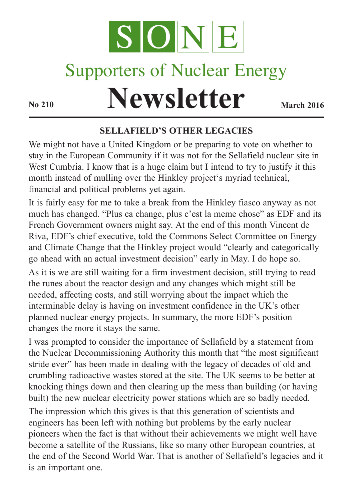

# Supporters of Nuclear Energy

# **Newsletter March** 2016

#### **SELLAFIELD'S OTHER LEGACIES**

We might not have a United Kingdom or be preparing to vote on whether to stay in the European Community if it was not for the Sellafield nuclear site in West Cumbria. I know that is a huge claim but I intend to try to justify it this month instead of mulling over the Hinkley project's myriad technical, financial and political problems yet again.

It is fairly easy for me to take a break from the Hinkley fiasco anyway as not much has changed. "Plus ca change, plus c'est la meme chose" as EDF and its French Government owners might say. At the end of this month Vincent de Riva, EDF's chief executive, told the Commons Select Committee on Energy and Climate Change that the Hinkley project would "clearly and categorically go ahead with an actual investment decision" early in May. I do hope so.

As it is we are still waiting for a firm investment decision, still trying to read the runes about the reactor design and any changes which might still be needed, affecting costs, and still worrying about the impact which the interminable delay is having on investment confidence in the UK's other planned nuclear energy projects. In summary, the more EDF's position changes the more it stays the same.

I was prompted to consider the importance of Sellafield by a statement from the Nuclear Decommissioning Authority this month that "the most significant stride ever" has been made in dealing with the legacy of decades of old and crumbling radioactive wastes stored at the site. The UK seems to be better at knocking things down and then clearing up the mess than building (or having built) the new nuclear electricity power stations which are so badly needed.

The impression which this gives is that this generation of scientists and engineers has been left with nothing but problems by the early nuclear pioneers when the fact is that without their achievements we might well have become a satellite of the Russians, like so many other European countries, at the end of the Second World War. That is another of Sellafield's legacies and it is an important one.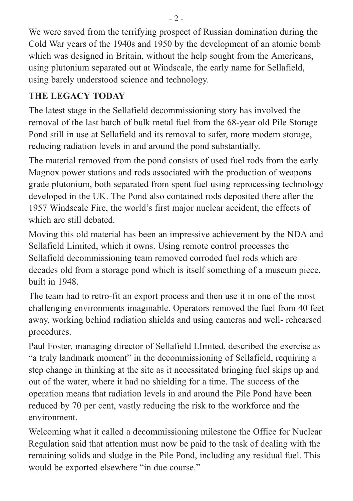We were saved from the terrifying prospect of Russian domination during the Cold War years of the 1940s and 1950 by the development of an atomic bomb which was designed in Britain, without the help sought from the Americans, using plutonium separated out at Windscale, the early name for Sellafield, using barely understood science and technology.

## **THE LEGACY TODAY**

The latest stage in the Sellafield decommissioning story has involved the removal of the last batch of bulk metal fuel from the 68-year old Pile Storage Pond still in use at Sellafield and its removal to safer, more modern storage, reducing radiation levels in and around the pond substantially.

The material removed from the pond consists of used fuel rods from the early Magnox power stations and rods associated with the production of weapons grade plutonium, both separated from spent fuel using reprocessing technology developed in the UK. The Pond also contained rods deposited there after the 1957 Windscale Fire, the world's first major nuclear accident, the effects of which are still debated.

Moving this old material has been an impressive achievement by the NDA and Sellafield Limited, which it owns. Using remote control processes the Sellafield decommissioning team removed corroded fuel rods which are decades old from a storage pond which is itself something of a museum piece, built in 1948.

The team had to retro-fit an export process and then use it in one of the most challenging environments imaginable. Operators removed the fuel from 40 feet away, working behind radiation shields and using cameras and well- rehearsed procedures.

Paul Foster, managing director of Sellafield LImited, described the exercise as "a truly landmark moment" in the decommissioning of Sellafield, requiring a step change in thinking at the site as it necessitated bringing fuel skips up and out of the water, where it had no shielding for a time. The success of the operation means that radiation levels in and around the Pile Pond have been reduced by 70 per cent, vastly reducing the risk to the workforce and the environment.

Welcoming what it called a decommissioning milestone the Office for Nuclear Regulation said that attention must now be paid to the task of dealing with the remaining solids and sludge in the Pile Pond, including any residual fuel. This would be exported elsewhere "in due course."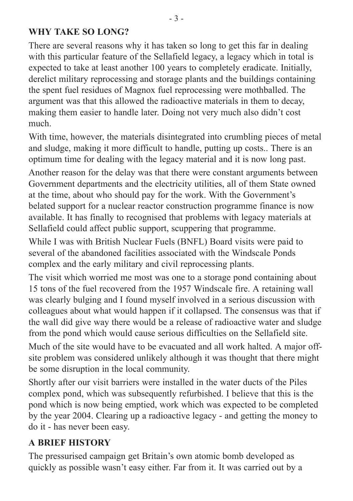#### **WHY TAKE SO LONG?**

There are several reasons why it has taken so long to get this far in dealing with this particular feature of the Sellafield legacy, a legacy which in total is expected to take at least another 100 years to completely eradicate. Initially, derelict military reprocessing and storage plants and the buildings containing the spent fuel residues of Magnox fuel reprocessing were mothballed. The argument was that this allowed the radioactive materials in them to decay, making them easier to handle later. Doing not very much also didn't cost much.

With time, however, the materials disintegrated into crumbling pieces of metal and sludge, making it more difficult to handle, putting up costs.. There is an optimum time for dealing with the legacy material and it is now long past. Another reason for the delay was that there were constant arguments between Government departments and the electricity utilities, all of them State owned at the time, about who should pay for the work. With the Government's belated support for a nuclear reactor construction programme finance is now available. It has finally to recognised that problems with legacy materials at Sellafield could affect public support, scuppering that programme.

While I was with British Nuclear Fuels (BNFL) Board visits were paid to several of the abandoned facilities associated with the Windscale Ponds complex and the early military and civil reprocessing plants.

The visit which worried me most was one to a storage pond containing about 15 tons of the fuel recovered from the 1957 Windscale fire. A retaining wall was clearly bulging and I found myself involved in a serious discussion with colleagues about what would happen if it collapsed. The consensus was that if the wall did give way there would be a release of radioactive water and sludge from the pond which would cause serious difficulties on the Sellafield site.

Much of the site would have to be evacuated and all work halted. A major offsite problem was considered unlikely although it was thought that there might be some disruption in the local community.

Shortly after our visit barriers were installed in the water ducts of the Piles complex pond, which was subsequently refurbished. I believe that this is the pond which is now being emptied, work which was expected to be completed by the year 2004. Clearing up a radioactive legacy - and getting the money to do it - has never been easy.

#### **A BRIEF HISTORY**

The pressurised campaign get Britain's own atomic bomb developed as quickly as possible wasn't easy either. Far from it. It was carried out by a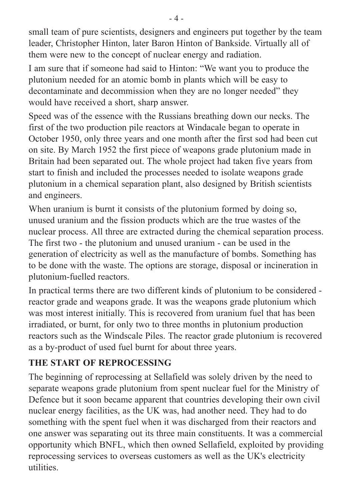small team of pure scientists, designers and engineers put together by the team leader, Christopher Hinton, later Baron Hinton of Bankside. Virtually all of them were new to the concept of nuclear energy and radiation.

I am sure that if someone had said to Hinton: "We want you to produce the plutonium needed for an atomic bomb in plants which will be easy to decontaminate and decommission when they are no longer needed" they would have received a short, sharp answer.

Speed was of the essence with the Russians breathing down our necks. The first of the two production pile reactors at Windacale began to operate in October 1950, only three years and one month after the first sod had been cut on site. By March 1952 the first piece of weapons grade plutonium made in Britain had been separated out. The whole project had taken five years from start to finish and included the processes needed to isolate weapons grade plutonium in a chemical separation plant, also designed by British scientists and engineers.

When uranium is burnt it consists of the plutonium formed by doing so, unused uranium and the fission products which are the true wastes of the nuclear process. All three are extracted during the chemical separation process. The first two - the plutonium and unused uranium - can be used in the generation of electricity as well as the manufacture of bombs. Something has to be done with the waste. The options are storage, disposal or incineration in plutonium-fuelled reactors.

In practical terms there are two different kinds of plutonium to be considered reactor grade and weapons grade. It was the weapons grade plutonium which was most interest initially. This is recovered from uranium fuel that has been irradiated, or burnt, for only two to three months in plutonium production reactors such as the Windscale Piles. The reactor grade plutonium is recovered as a by-product of used fuel burnt for about three years.

#### **THE START OF REPROCESSING**

The beginning of reprocessing at Sellafield was solely driven by the need to separate weapons grade plutonium from spent nuclear fuel for the Ministry of Defence but it soon became apparent that countries developing their own civil nuclear energy facilities, as the UK was, had another need. They had to do something with the spent fuel when it was discharged from their reactors and one answer was separating out its three main constituents. It was a commercial opportunity which BNFL, which then owned Sellafield, exploited by providing reprocessing services to overseas customers as well as the UK's electricity utilities.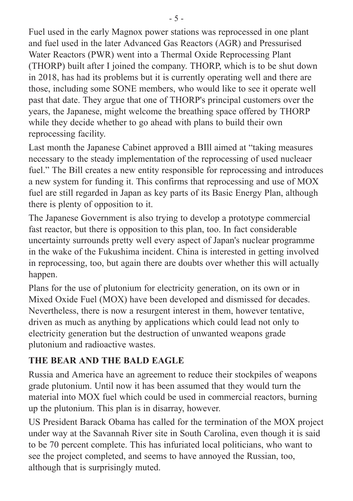Fuel used in the early Magnox power stations was reprocessed in one plant and fuel used in the later Advanced Gas Reactors (AGR) and Pressurised Water Reactors (PWR) went into a Thermal Oxide Reprocessing Plant (THORP) built after I joined the company. THORP, which is to be shut down in 2018, has had its problems but it is currently operating well and there are those, including some SONE members, who would like to see it operate well past that date. They argue that one of THORP's principal customers over the years, the Japanese, might welcome the breathing space offered by THORP while they decide whether to go ahead with plans to build their own reprocessing facility.

Last month the Japanese Cabinet approved a BIll aimed at "taking measures necessary to the steady implementation of the reprocessing of used nucleaer fuel." The Bill creates a new entity responsible for reprocessing and introduces a new system for funding it. This confirms that reprocessing and use of MOX fuel are still regarded in Japan as key parts of its Basic Energy Plan, although there is plenty of opposition to it.

The Japanese Government is also trying to develop a prototype commercial fast reactor, but there is opposition to this plan, too. In fact considerable uncertainty surrounds pretty well every aspect of Japan's nuclear programme in the wake of the Fukushima incident. China is interested in getting involved in reprocessing, too, but again there are doubts over whether this will actually happen.

Plans for the use of plutonium for electricity generation, on its own or in Mixed Oxide Fuel (MOX) have been developed and dismissed for decades. Nevertheless, there is now a resurgent interest in them, however tentative, driven as much as anything by applications which could lead not only to electricity generation but the destruction of unwanted weapons grade plutonium and radioactive wastes.

### **THE BEAR AND THE BALD EAGLE**

Russia and America have an agreement to reduce their stockpiles of weapons grade plutonium. Until now it has been assumed that they would turn the material into MOX fuel which could be used in commercial reactors, burning up the plutonium. This plan is in disarray, however.

US President Barack Obama has called for the termination of the MOX project under way at the Savannah River site in South Carolina, even though it is said to be 70 percent complete. This has infuriated local politicians, who want to see the project completed, and seems to have annoyed the Russian, too, although that is surprisingly muted.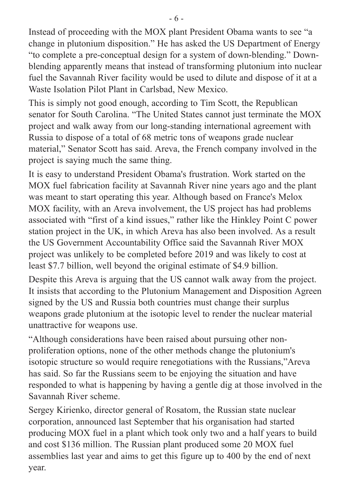Instead of proceeding with the MOX plant President Obama wants to see "a change in plutonium disposition." He has asked the US Department of Energy "to complete a pre-conceptual design for a system of down-blending." Downblending apparently means that instead of transforming plutonium into nuclear fuel the Savannah River facility would be used to dilute and dispose of it at a Waste Isolation Pilot Plant in Carlsbad, New Mexico.

This is simply not good enough, according to Tim Scott, the Republican senator for South Carolina. "The United States cannot just terminate the MOX project and walk away from our long-standing international agreement with Russia to dispose of a total of 68 metric tons of weapons grade nuclear material," Senator Scott has said. Areva, the French company involved in the project is saying much the same thing.

It is easy to understand President Obama's frustration. Work started on the MOX fuel fabrication facility at Savannah River nine years ago and the plant was meant to start operating this year. Although based on France's Melox MOX facility, with an Areva involvement, the US project has had problems associated with "first of a kind issues," rather like the Hinkley Point C power station project in the UK, in which Areva has also been involved. As a result the US Government Accountability Office said the Savannah River MOX project was unlikely to be completed before 2019 and was likely to cost at least \$7.7 billion, well beyond the original estimate of \$4.9 billion.

Despite this Areva is arguing that the US cannot walk away from the project. It insists that according to the Plutonium Management and Disposition Agreen signed by the US and Russia both countries must change their surplus weapons grade plutonium at the isotopic level to render the nuclear material unattractive for weapons use.

"Although considerations have been raised about pursuing other nonproliferation options, none of the other methods change the plutonium's isotopic structure so would require renegotiations with the Russians,"Areva has said. So far the Russians seem to be enjoying the situation and have responded to what is happening by having a gentle dig at those involved in the Savannah River scheme.

Sergey Kirienko, director general of Rosatom, the Russian state nuclear corporation, announced last September that his organisation had started producing MOX fuel in a plant which took only two and a half years to build and cost \$136 million. The Russian plant produced some 20 MOX fuel assemblies last year and aims to get this figure up to 400 by the end of next year.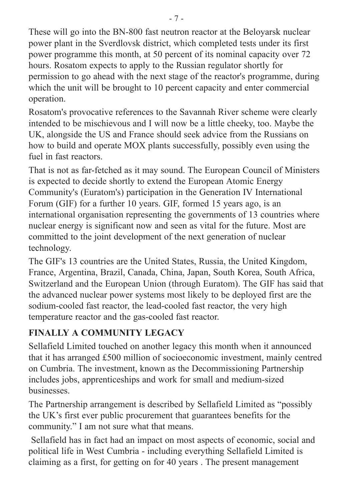These will go into the BN-800 fast neutron reactor at the Beloyarsk nuclear power plant in the Sverdlovsk district, which completed tests under its first power programme this month, at 50 percent of its nominal capacity over 72 hours. Rosatom expects to apply to the Russian regulator shortly for permission to go ahead with the next stage of the reactor's programme, during which the unit will be brought to 10 percent capacity and enter commercial operation.

Rosatom's provocative references to the Savannah River scheme were clearly intended to be mischievous and I will now be a little cheeky, too. Maybe the UK, alongside the US and France should seek advice from the Russians on how to build and operate MOX plants successfully, possibly even using the fuel in fast reactors.

That is not as far-fetched as it may sound. The European Council of Ministers is expected to decide shortly to extend the European Atomic Energy Community's (Euratom's) participation in the Generation IV International Forum (GIF) for a further 10 years. GIF, formed 15 years ago, is an international organisation representing the governments of 13 countries where nuclear energy is significant now and seen as vital for the future. Most are committed to the joint development of the next generation of nuclear technology.

The GIF's 13 countries are the United States, Russia, the United Kingdom, France, Argentina, Brazil, Canada, China, Japan, South Korea, South Africa, Switzerland and the European Union (through Euratom). The GIF has said that the advanced nuclear power systems most likely to be deployed first are the sodium-cooled fast reactor, the lead-cooled fast reactor, the very high temperature reactor and the gas-cooled fast reactor.

# **FINALLY A COMMUNITY LEGACY**

Sellafield Limited touched on another legacy this month when it announced that it has arranged £500 million of socioeconomic investment, mainly centred on Cumbria. The investment, known as the Decommissioning Partnership includes jobs, apprenticeships and work for small and medium-sized businesses.

The Partnership arrangement is described by Sellafield Limited as "possibly the UK's first ever public procurement that guarantees benefits for the community." I am not sure what that means.

Sellafield has in fact had an impact on most aspects of economic, social and political life in West Cumbria - including everything Sellafield Limited is claiming as a first, for getting on for 40 years . The present management